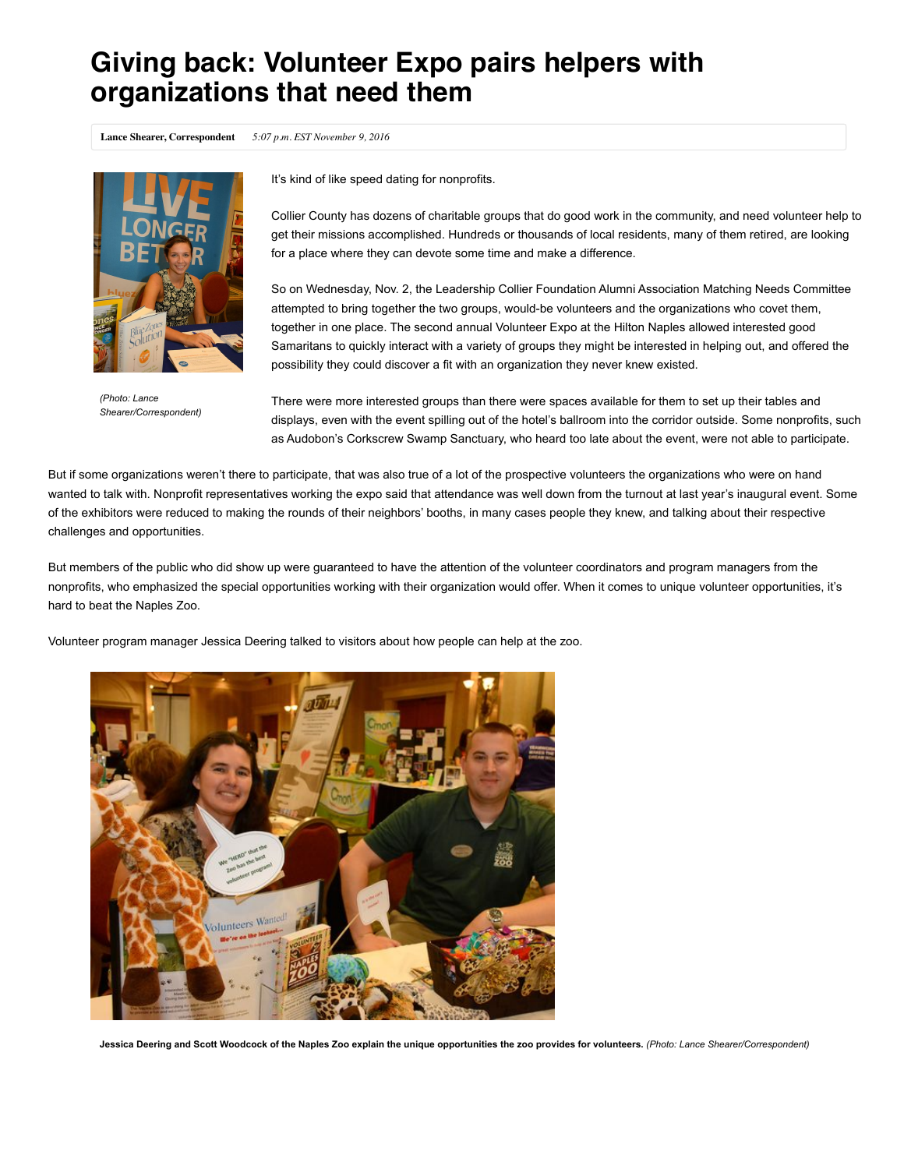## **Giving back: Volunteer Expo pairs helpers with organizations that need them**

**Lance Shearer, Correspondent** *5:07 p.m. EST November 9, 2016*



*(Photo: Lance Shearer/Correspondent)*

It's kind of like speed dating for nonprofits.

Collier County has dozens of charitable groups that do good work in the community, and need volunteer help to get their missions accomplished. Hundreds or thousands of local residents, many of them retired, are looking for a place where they can devote some time and make a difference.

So on Wednesday, Nov. 2, the Leadership Collier Foundation Alumni Association Matching Needs Committee attempted to bring together the two groups, would-be volunteers and the organizations who covet them, together in one place. The second annual Volunteer Expo at the Hilton Naples allowed interested good Samaritans to quickly interact with a variety of groups they might be interested in helping out, and offered the possibility they could discover a fit with an organization they never knew existed.

There were more interested groups than there were spaces available for them to set up their tables and displays, even with the event spilling out of the hotel's ballroom into the corridor outside. Some nonprofits, such as Audobon's Corkscrew Swamp Sanctuary, who heard too late about the event, were not able to participate.

But if some organizations weren't there to participate, that was also true of a lot of the prospective volunteers the organizations who were on hand wanted to talk with. Nonprofit representatives working the expo said that attendance was well down from the turnout at last year's inaugural event. Some of the exhibitors were reduced to making the rounds of their neighbors' booths, in many cases people they knew, and talking about their respective challenges and opportunities.

But members of the public who did show up were guaranteed to have the attention of the volunteer coordinators and program managers from the nonprofits, who emphasized the special opportunities working with their organization would offer. When it comes to unique volunteer opportunities, it's hard to beat the Naples Zoo.

Volunteer program manager Jessica Deering talked to visitors about how people can help at the zoo.



**Jessica Deering and Scott Woodcock of the Naples Zoo explain the unique opportunities the zoo provides for volunteers.** *(Photo: Lance Shearer/Correspondent)*